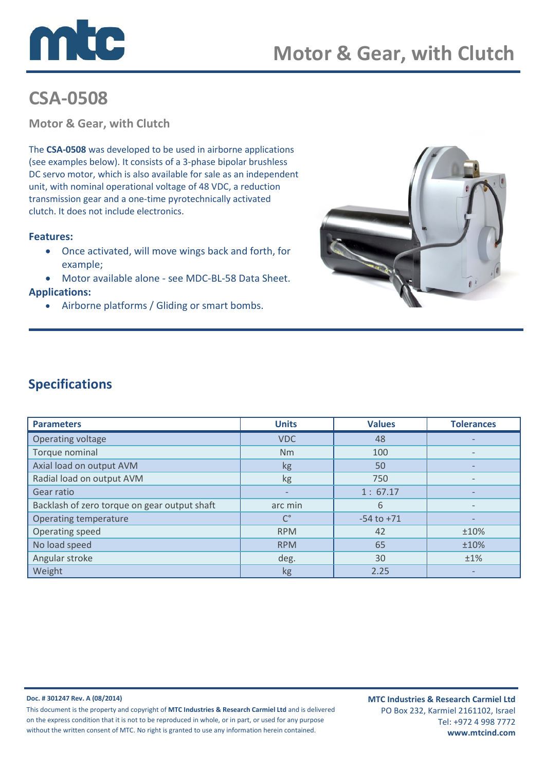

# CSA-0508

Motor & Gear, with Clutch

The CSA-0508 was developed to be used in airborne applications (see examples below). It consists of a 3-phase bipolar brushless DC servo motor, which is also available for sale as an independent unit, with nominal operational voltage of 48 VDC, a reduction transmission gear and a one-time pyrotechnically activated clutch. It does not include electronics.

### Features:

- Once activated, will move wings back and forth, for example;
- Motor available alone see MDC-BL-58 Data Sheet.

### Applications:

• Airborne platforms / Gliding or smart bombs.



## Specifications

| <b>Parameters</b>                            | <b>Units</b>             | <b>Values</b>  | <b>Tolerances</b> |
|----------------------------------------------|--------------------------|----------------|-------------------|
| Operating voltage                            | <b>VDC</b>               | 48             |                   |
| Torque nominal                               | <b>Nm</b>                | 100            |                   |
| Axial load on output AVM                     | kg                       | 50             |                   |
| Radial load on output AVM                    | kg                       | 750            |                   |
| Gear ratio                                   | $\overline{\phantom{0}}$ | 1:67.17        |                   |
| Backlash of zero torque on gear output shaft | arc min                  | 6              |                   |
| Operating temperature                        | $\mathsf{C}^\circ$       | $-54$ to $+71$ |                   |
| Operating speed                              | <b>RPM</b>               | 42             | ±10%              |
| No load speed                                | <b>RPM</b>               | 65             | ±10%              |
| Angular stroke                               | deg.                     | 30             | ±1%               |
| Weight                                       | kg                       | 2.25           |                   |

#### Doc. # 301247 Rev. A (08/2014)

This document is the property and copyright of MTC Industries & Research Carmiel Ltd and is delivered on the express condition that it is not to be reproduced in whole, or in part, or used for any purpose without the written consent of MTC. No right is granted to use any information herein contained.

MTC Industries & Research Carmiel Ltd PO Box 232, Karmiel 2161102, Israel Tel: +972 4 998 7772 www.mtcind.com